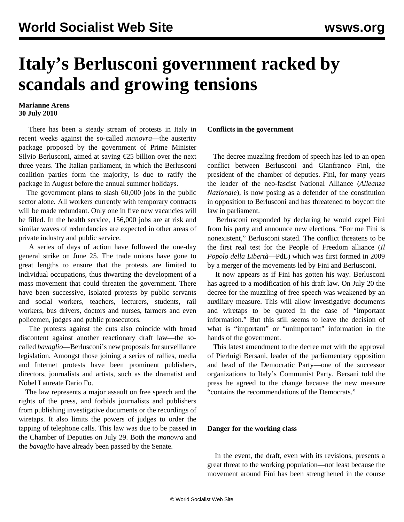## **Italy's Berlusconi government racked by scandals and growing tensions**

## **Marianne Arens 30 July 2010**

 There has been a steady stream of protests in Italy in recent weeks against the so-called *manovra*—the austerity package proposed by the government of Prime Minister Silvio Berlusconi, aimed at saving €25 billion over the next three years. The Italian parliament, in which the Berlusconi coalition parties form the majority, is due to ratify the package in August before the annual summer holidays.

 The government plans to slash 60,000 jobs in the public sector alone. All workers currently with temporary contracts will be made redundant. Only one in five new vacancies will be filled. In the health service, 156,000 jobs are at risk and similar waves of redundancies are expected in other areas of private industry and public service.

 A series of days of action have followed the one-day general strike on June 25. The trade unions have gone to great lengths to ensure that the protests are limited to individual occupations, thus thwarting the development of a mass movement that could threaten the government. There have been successive, isolated protests by public servants and social workers, teachers, lecturers, students, rail workers, bus drivers, doctors and nurses, farmers and even policemen, judges and public prosecutors.

 The protests against the cuts also coincide with broad discontent against another reactionary draft law—the socalled *bavaglio*—Berlusconi's new proposals for surveillance legislation. Amongst those joining a series of rallies, media and Internet protests have been prominent publishers, directors, journalists and artists, such as the dramatist and Nobel Laureate Dario Fo.

 The law represents a major assault on free speech and the rights of the press, and forbids journalists and publishers from publishing investigative documents or the recordings of wiretaps. It also limits the powers of judges to order the tapping of telephone calls. This law was due to be passed in the Chamber of Deputies on July 29. Both the *manovra* and the *bavaglio* have already been passed by the Senate.

## **Conflicts in the government**

 The decree muzzling freedom of speech has led to an open conflict between Berlusconi and Gianfranco Fini, the president of the chamber of deputies. Fini, for many years the leader of the neo-fascist National Alliance (*Alleanza Nazionale*), is now posing as a defender of the constitution in opposition to Berlusconi and has threatened to boycott the law in parliament.

 Berlusconi responded by declaring he would expel Fini from his party and announce new elections. "For me Fini is nonexistent," Berlusconi stated. The conflict threatens to be the first real test for the People of Freedom alliance (*Il Popolo della Libertà*—PdL) which was first formed in 2009 by a merger of the movements led by Fini and Berlusconi.

 It now appears as if Fini has gotten his way. Berlusconi has agreed to a modification of his draft law. On July 20 the decree for the muzzling of free speech was weakened by an auxiliary measure. This will allow investigative documents and wiretaps to be quoted in the case of "important information." But this still seems to leave the decision of what is "important" or "unimportant" information in the hands of the government.

 This latest amendment to the decree met with the approval of Pierluigi Bersani, leader of the parliamentary opposition and head of the Democratic Party—one of the successor organizations to Italy's Communist Party. Bersani told the press he agreed to the change because the new measure "contains the recommendations of the Democrats."

## **Danger for the working class**

 In the event, the draft, even with its revisions, presents a great threat to the working population—not least because the movement around Fini has been strengthened in the course